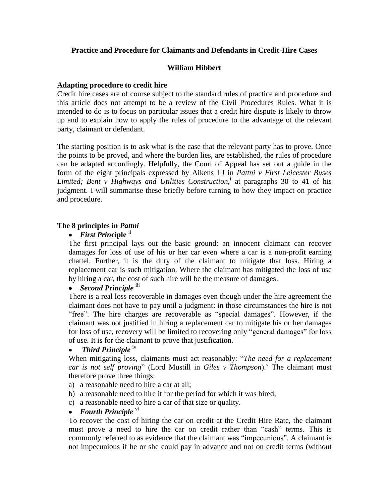# **Practice and Procedure for Claimants and Defendants in Credit-Hire Cases**

# **William Hibbert**

# **Adapting procedure to credit hire**

Credit hire cases are of course subject to the standard rules of practice and procedure and this article does not attempt to be a review of the Civil Procedures Rules. What it is intended to do is to focus on particular issues that a credit hire dispute is likely to throw up and to explain how to apply the rules of procedure to the advantage of the relevant party, claimant or defendant.

The starting position is to ask what is the case that the relevant party has to prove. Once the points to be proved, and where the burden lies, are established, the rules of procedure can be adapted accordingly. Helpfully, the Court of Appeal has set out a guide in the form of the eight principals expressed by Aikens LJ in *Pattni v First Leicester Buses Limited; Bent v Highways and Utilities Construction*, i at paragraphs 30 to 41 of his judgment. I will summarise these briefly before turning to how they impact on practice and procedure.

## **The 8 principles in** *Pattni*

# *First Prin***ciple** ii

The first principal lays out the basic ground: an innocent claimant can recover damages for loss of use of his or her car even where a car is a non-profit earning chattel. Further, it is the duty of the claimant to mitigate that loss. Hiring a replacement car is such mitigation. Where the claimant has mitigated the loss of use by hiring a car, the cost of such hire will be the measure of damages.

# • *Second Principle* iii

There is a real loss recoverable in damages even though under the hire agreement the claimant does not have to pay until a judgment: in those circumstances the hire is not "free". The hire charges are recoverable as "special damages". However, if the claimant was not justified in hiring a replacement car to mitigate his or her damages for loss of use, recovery will be limited to recovering only "general damages" for loss of use. It is for the claimant to prove that justification.

#### *Third Principle* iv  $\bullet$

When mitigating loss, claimants must act reasonably: "*The need for a replacement*  car is not self proving" (Lord Mustill in Giles v Thompson).<sup>V</sup> The claimant must therefore prove three things:

- a) a reasonable need to hire a car at all;
- b) a reasonable need to hire it for the period for which it was hired;
- c) a reasonable need to hire a car of that size or quality.

# $\bullet$  *Fourth Principle*  $V_1$

To recover the cost of hiring the car on credit at the Credit Hire Rate, the claimant must prove a need to hire the car on credit rather than "cash" terms. This is commonly referred to as evidence that the claimant was "impecunious". A claimant is not impecunious if he or she could pay in advance and not on credit terms (without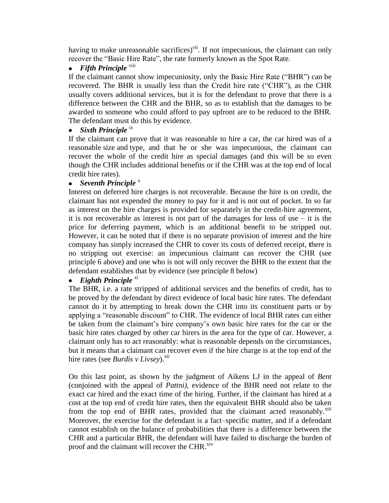having to make unreasonable sacrifices)<sup>vii</sup>. If not impecunious, the claimant can only recover the "Basic Hire Rate", the rate formerly known as the Spot Rate.

# **•** Fifth Principle viii

If the claimant cannot show impecuniosity, only the Basic Hire Rate ("BHR") can be recovered. The BHR is usually less than the Credit hire rate ("CHR"), as the CHR usually covers additional services, but it is for the defendant to prove that there is a difference between the CHR and the BHR, so as to establish that the damages to be awarded to someone who could afford to pay upfront are to be reduced to the BHR. The defendant must do this by evidence.

# *Sixth Principle* ix

If the claimant can prove that it was reasonable to hire a car, the car hired was of a reasonable size and type, and that he or she was impecunious, the claimant can recover the whole of the credit hire as special damages (and this will be so even though the CHR includes additional benefits or if the CHR was at the top end of local credit hire rates).

# • Seventh Principle<sup>x</sup>

Interest on deferred hire charges is not recoverable. Because the hire is on credit, the claimant has not expended the money to pay for it and is not out of pocket. In so far as interest on the hire charges is provided for separately in the credit-hire agreement, it is not recoverable as interest is not part of the damages for loss of use – it is the price for deferring payment, which is an additional benefit to be stripped out. However, it can be noted that if there is no separate provision of interest and the hire company has simply increased the CHR to cover its costs of deferred receipt, **t**here is no stripping out exercise: an impecunious claimant can recover the CHR (see principle 6 above) and one who is not will only recover the BHR to the extent that the defendant establishes that by evidence (see principle 8 below)

#### *Eighth Principle* x<sup>i</sup>  $\bullet$

The BHR, i.e. a rate stripped of additional services and the benefits of credit, has to be proved by the defendant by direct evidence of local basic hire rates. The defendant cannot do it by attempting to break down the CHR into its constituent parts or by applying a "reasonable discount" to CHR. The evidence of local BHR rates can either be taken from the claimant's hire company's own basic hire rates for the car or the basic hire rates charged by other car hirers in the area for the type of car. However, a claimant only has to act reasonably: what is reasonable depends on the circumstances, but it means that a claimant can recover even if the hire charge is at the top end of the hire rates (see *Burdis v Livsey*).<sup>xii</sup>

On this last point, as shown by the judgment of Aikens LJ in the appeal of *Bent* (conjoined with the appeal of *Pattni)*, evidence of the BHR need not relate to the exact car hired and the exact time of the hiring. Further, if the claimant has hired at a cost at the top end of credit hire rates, then the equivalent BHR should also be taken from the top end of BHR rates, provided that the claimant acted reasonably.<sup>xiii</sup> Moreover, the exercise for the defendant is a fact–specific matter, and if a defendant cannot establish on the balance of probabilities that there is a difference between the CHR and a particular BHR, the defendant will have failed to discharge the burden of proof and the claimant will recover the CHR.<sup>xiv</sup>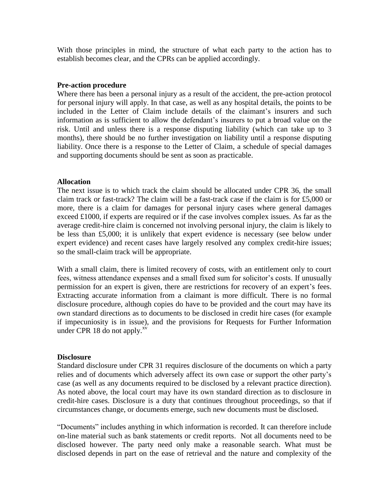With those principles in mind, the structure of what each party to the action has to establish becomes clear, and the CPRs can be applied accordingly.

## **Pre-action procedure**

Where there has been a personal injury as a result of the accident, the pre-action protocol for personal injury will apply. In that case, as well as any hospital details, the points to be included in the Letter of Claim include details of the claimant's insurers and such information as is sufficient to allow the defendant's insurers to put a broad value on the risk. Until and unless there is a response disputing liability (which can take up to 3 months), there should be no further investigation on liability until a response disputing liability. Once there is a response to the Letter of Claim, a schedule of special damages and supporting documents should be sent as soon as practicable.

## **Allocation**

The next issue is to which track the claim should be allocated under CPR 36, the small claim track or fast-track? The claim will be a fast-track case if the claim is for £5,000 or more, there is a claim for damages for personal injury cases where general damages exceed £1000, if experts are required or if the case involves complex issues. As far as the average credit-hire claim is concerned not involving personal injury, the claim is likely to be less than £5,000; it is unlikely that expert evidence is necessary (see below under expert evidence) and recent cases have largely resolved any complex credit-hire issues; so the small-claim track will be appropriate.

With a small claim, there is limited recovery of costs, with an entitlement only to court fees, witness attendance expenses and a small fixed sum for solicitor's costs. If unusually permission for an expert is given, there are restrictions for recovery of an expert's fees. Extracting accurate information from a claimant is more difficult. There is no formal disclosure procedure, although copies do have to be provided and the court may have its own standard directions as to documents to be disclosed in credit hire cases (for example if impecuniosity is in issue), and the provisions for Requests for Further Information under CPR 18 do not apply. $x<sup>v</sup>$ 

### **Disclosure**

Standard disclosure under CPR 31 requires disclosure of the documents on which a party relies and of documents which adversely affect its own case or support the other party's case (as well as any documents required to be disclosed by a relevant practice direction). As noted above, the local court may have its own standard direction as to disclosure in credit-hire cases. Disclosure is a duty that continues throughout proceedings, so that if circumstances change, or documents emerge, such new documents must be disclosed.

"Documents" includes anything in which information is recorded. It can therefore include on-line material such as bank statements or credit reports. Not all documents need to be disclosed however. The party need only make a reasonable search. What must be disclosed depends in part on the ease of retrieval and the nature and complexity of the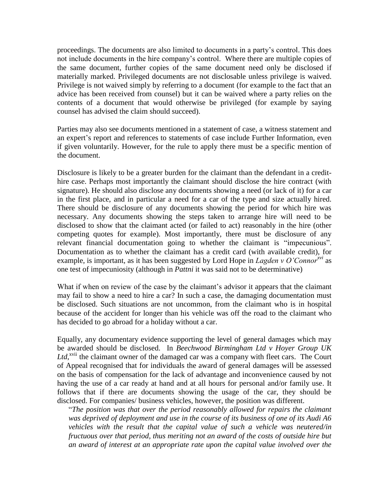proceedings. The documents are also limited to documents in a party's control. This does not include documents in the hire company's control. Where there are multiple copies of the same document, further copies of the same document need only be disclosed if materially marked. Privileged documents are not disclosable unless privilege is waived. Privilege is not waived simply by referring to a document (for example to the fact that an advice has been received from counsel) but it can be waived where a party relies on the contents of a document that would otherwise be privileged (for example by saying counsel has advised the claim should succeed).

Parties may also see documents mentioned in a statement of case, a witness statement and an expert's report and references to statements of case include Further Information, even if given voluntarily. However, for the rule to apply there must be a specific mention of the document.

Disclosure is likely to be a greater burden for the claimant than the defendant in a credithire case. Perhaps most importantly the claimant should disclose the hire contract (with signature). He should also disclose any documents showing a need (or lack of it) for a car in the first place, and in particular a need for a car of the type and size actually hired. There should be disclosure of any documents showing the period for which hire was necessary. Any documents showing the steps taken to arrange hire will need to be disclosed to show that the claimant acted (or failed to act) reasonably in the hire (other competing quotes for example). Most importantly, there must be disclosure of any relevant financial documentation going to whether the claimant is "impecunious". Documentation as to whether the claimant has a credit card (with available credit), for example, is important, as it has been suggested by Lord Hope in *Lagden v O'Connorxvi* as one test of impecuniosity (although in *Pattni* it was said not to be determinative)

What if when on review of the case by the claimant's advisor it appears that the claimant may fail to show a need to hire a car? In such a case, the damaging documentation must be disclosed. Such situations are not uncommon, from the claimant who is in hospital because of the accident for longer than his vehicle was off the road to the claimant who has decided to go abroad for a holiday without a car.

Equally, any documentary evidence supporting the level of general damages which may be awarded should be disclosed. In *Beechwood Birmingham Ltd v Hoyer Group UK*  Ltd,<sup>xvii</sup> the claimant owner of the damaged car was a company with fleet cars. The Court of Appeal recognised that for individuals the award of general damages will be assessed on the basis of compensation for the lack of advantage and inconvenience caused by not having the use of a car ready at hand and at all hours for personal and/or family use. It follows that if there are documents showing the usage of the car, they should be disclosed. For companies/ business vehicles, however, the position was different.

"*The position was that over the period reasonably allowed for repairs the claimant was deprived of deployment and use in the course of its business of one of its Audi A6 vehicles with the result that the capital value of such a vehicle was neutered/in fructuous over that period, thus meriting not an award of the costs of outside hire but an award of interest at an appropriate rate upon the capital value involved over the*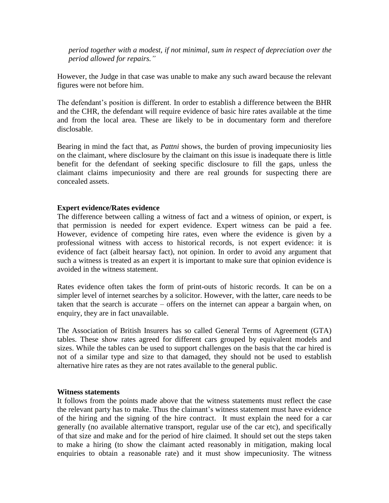*period together with a modest, if not minimal, sum in respect of depreciation over the period allowed for repairs."* 

However, the Judge in that case was unable to make any such award because the relevant figures were not before him.

The defendant's position is different. In order to establish a difference between the BHR and the CHR, the defendant will require evidence of basic hire rates available at the time and from the local area. These are likely to be in documentary form and therefore disclosable.

Bearing in mind the fact that, as *Pattni* shows, the burden of proving impecuniosity lies on the claimant, where disclosure by the claimant on this issue is inadequate there is little benefit for the defendant of seeking specific disclosure to fill the gaps, unless the claimant claims impecuniosity and there are real grounds for suspecting there are concealed assets.

# **Expert evidence/Rates evidence**

The difference between calling a witness of fact and a witness of opinion, or expert, is that permission is needed for expert evidence. Expert witness can be paid a fee. However, evidence of competing hire rates, even where the evidence is given by a professional witness with access to historical records, is not expert evidence: it is evidence of fact (albeit hearsay fact), not opinion. In order to avoid any argument that such a witness is treated as an expert it is important to make sure that opinion evidence is avoided in the witness statement.

Rates evidence often takes the form of print-outs of historic records. It can be on a simpler level of internet searches by a solicitor. However, with the latter, care needs to be taken that the search is accurate – offers on the internet can appear a bargain when, on enquiry, they are in fact unavailable.

The Association of British Insurers has so called General Terms of Agreement (GTA) tables. These show rates agreed for different cars grouped by equivalent models and sizes. While the tables can be used to support challenges on the basis that the car hired is not of a similar type and size to that damaged, they should not be used to establish alternative hire rates as they are not rates available to the general public.

### **Witness statements**

It follows from the points made above that the witness statements must reflect the case the relevant party has to make. Thus the claimant's witness statement must have evidence of the hiring and the signing of the hire contract. It must explain the need for a car generally (no available alternative transport, regular use of the car etc), and specifically of that size and make and for the period of hire claimed. It should set out the steps taken to make a hiring (to show the claimant acted reasonably in mitigation, making local enquiries to obtain a reasonable rate) and it must show impecuniosity. The witness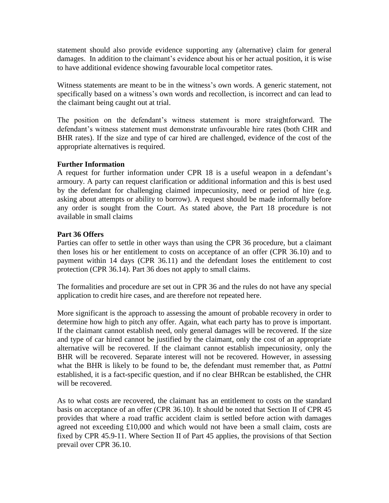statement should also provide evidence supporting any (alternative) claim for general damages. In addition to the claimant's evidence about his or her actual position, it is wise to have additional evidence showing favourable local competitor rates.

Witness statements are meant to be in the witness's own words. A generic statement, not specifically based on a witness's own words and recollection, is incorrect and can lead to the claimant being caught out at trial.

The position on the defendant's witness statement is more straightforward. The defendant's witness statement must demonstrate unfavourable hire rates (both CHR and BHR rates). If the size and type of car hired are challenged, evidence of the cost of the appropriate alternatives is required.

# **Further Information**

A request for further information under CPR 18 is a useful weapon in a defendant's armoury. A party can request clarification or additional information and this is best used by the defendant for challenging claimed impecuniosity, need or period of hire (e.g. asking about attempts or ability to borrow). A request should be made informally before any order is sought from the Court. As stated above, the Part 18 procedure is not available in small claims

# **Part 36 Offers**

Parties can offer to settle in other ways than using the CPR 36 procedure, but a claimant then loses his or her entitlement to costs on acceptance of an offer (CPR 36.10) and to payment within 14 days (CPR 36.11) and the defendant loses the entitlement to cost protection (CPR 36.14). Part 36 does not apply to small claims.

The formalities and procedure are set out in CPR 36 and the rules do not have any special application to credit hire cases, and are therefore not repeated here.

More significant is the approach to assessing the amount of probable recovery in order to determine how high to pitch any offer. Again, what each party has to prove is important. If the claimant cannot establish need, only general damages will be recovered. If the size and type of car hired cannot be justified by the claimant, only the cost of an appropriate alternative will be recovered. If the claimant cannot establish impecuniosity, only the BHR will be recovered. Separate interest will not be recovered. However, in assessing what the BHR is likely to be found to be, the defendant must remember that, as *Pattni* established, it is a fact-specific question, and if no clear BHRcan be established, the CHR will be recovered.

As to what costs are recovered, the claimant has an entitlement to costs on the standard basis on acceptance of an offer (CPR 36.10). It should be noted that Section II of CPR 45 provides that where a road traffic accident claim is settled before action with damages agreed not exceeding £10,000 and which would not have been a small claim, costs are fixed by CPR 45.9-11. Where Section II of Part 45 applies, the provisions of that Section prevail over CPR 36.10.